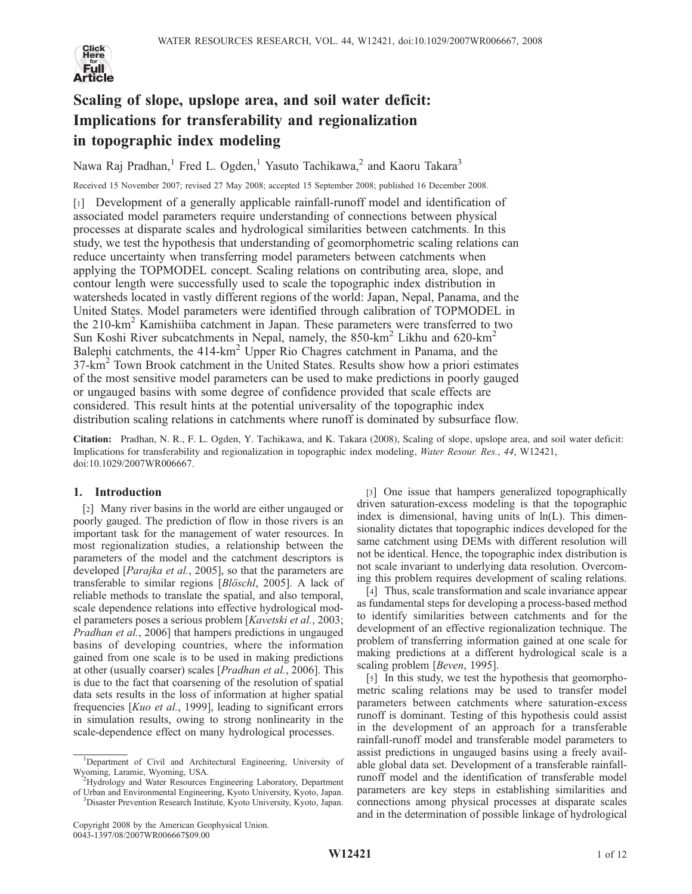

# Scaling of slope, upslope area, and soil water deficit: Implications for transferability and regionalization in topographic index modeling

Nawa Raj Pradhan,<sup>1</sup> Fred L. Ogden,<sup>1</sup> Yasuto Tachikawa,<sup>2</sup> and Kaoru Takara<sup>3</sup>

Received 15 November 2007; revised 27 May 2008; accepted 15 September 2008; published 16 December 2008.

[1] Development of a generally applicable rainfall-runoff model and identification of associated model parameters require understanding of connections between physical processes at disparate scales and hydrological similarities between catchments. In this study, we test the hypothesis that understanding of geomorphometric scaling relations can reduce uncertainty when transferring model parameters between catchments when applying the TOPMODEL concept. Scaling relations on contributing area, slope, and contour length were successfully used to scale the topographic index distribution in watersheds located in vastly different regions of the world: Japan, Nepal, Panama, and the United States. Model parameters were identified through calibration of TOPMODEL in the 210-km<sup>2</sup> Kamishiiba catchment in Japan. These parameters were transferred to two Sun Koshi River subcatchments in Nepal, namely, the  $850\text{-}km^2$  Likhu and  $620\text{-}km^2$ Balephi catchments, the  $414\text{-}km^2$  Upper Rio Chagres catchment in Panama, and the  $37\text{-km}^2$  Town Brook catchment in the United States. Results show how a priori estimates of the most sensitive model parameters can be used to make predictions in poorly gauged or ungauged basins with some degree of confidence provided that scale effects are considered. This result hints at the potential universality of the topographic index distribution scaling relations in catchments where runoff is dominated by subsurface flow.

Citation: Pradhan, N. R., F. L. Ogden, Y. Tachikawa, and K. Takara (2008), Scaling of slope, upslope area, and soil water deficit: Implications for transferability and regionalization in topographic index modeling, Water Resour. Res., 44, W12421, doi:10.1029/2007WR006667.

## 1. Introduction

[2] Many river basins in the world are either ungauged or poorly gauged. The prediction of flow in those rivers is an important task for the management of water resources. In most regionalization studies, a relationship between the parameters of the model and the catchment descriptors is developed [Parajka et al., 2005], so that the parameters are transferable to similar regions [*Blöschl*, 2005]. A lack of reliable methods to translate the spatial, and also temporal, scale dependence relations into effective hydrological model parameters poses a serious problem [Kavetski et al., 2003; Pradhan et al., 2006] that hampers predictions in ungauged basins of developing countries, where the information gained from one scale is to be used in making predictions at other (usually coarser) scales [Pradhan et al., 2006]. This is due to the fact that coarsening of the resolution of spatial data sets results in the loss of information at higher spatial frequencies [Kuo et al., 1999], leading to significant errors in simulation results, owing to strong nonlinearity in the scale-dependence effect on many hydrological processes.

<sup>2</sup>Hydrology and Water Resources Engineering Laboratory, Department of Urban and Environmental Engineering, Kyoto University, Kyoto, Japan. <sup>3</sup>

[3] One issue that hampers generalized topographically driven saturation-excess modeling is that the topographic index is dimensional, having units of ln(L). This dimensionality dictates that topographic indices developed for the same catchment using DEMs with different resolution will not be identical. Hence, the topographic index distribution is not scale invariant to underlying data resolution. Overcoming this problem requires development of scaling relations.

[4] Thus, scale transformation and scale invariance appear as fundamental steps for developing a process-based method to identify similarities between catchments and for the development of an effective regionalization technique. The problem of transferring information gained at one scale for making predictions at a different hydrological scale is a scaling problem [*Beven*, 1995].

[5] In this study, we test the hypothesis that geomorphometric scaling relations may be used to transfer model parameters between catchments where saturation-excess runoff is dominant. Testing of this hypothesis could assist in the development of an approach for a transferable rainfall-runoff model and transferable model parameters to assist predictions in ungauged basins using a freely available global data set. Development of a transferable rainfallrunoff model and the identification of transferable model parameters are key steps in establishing similarities and connections among physical processes at disparate scales and in the determination of possible linkage of hydrological

<sup>&</sup>lt;sup>1</sup>Department of Civil and Architectural Engineering, University of Wyoming, Laramie, Wyoming, USA. <sup>2</sup>

Disaster Prevention Research Institute, Kyoto University, Kyoto, Japan.

Copyright 2008 by the American Geophysical Union. 0043-1397/08/2007WR006667\$09.00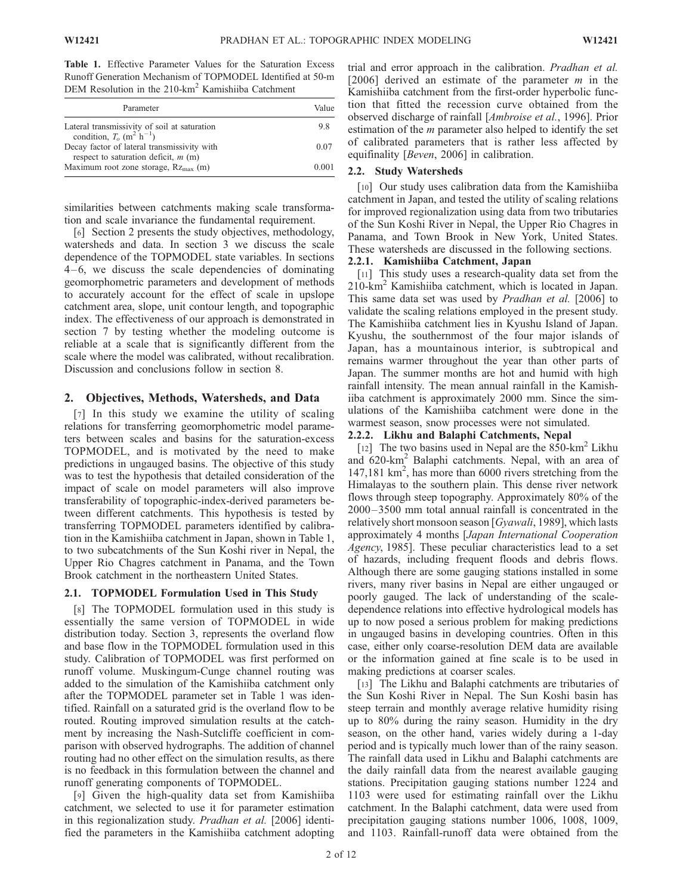Table 1. Effective Parameter Values for the Saturation Excess Runoff Generation Mechanism of TOPMODEL Identified at 50-m DEM Resolution in the 210-km<sup>2</sup> Kamishiiba Catchment

| Parameter                                                                                         | Value |
|---------------------------------------------------------------------------------------------------|-------|
| Lateral transmissivity of soil at saturation<br>condition, $To$ (m <sup>2</sup> h <sup>-1</sup> ) | 9.8   |
| Decay factor of lateral transmissivity with<br>respect to saturation deficit, $m(m)$              | 0.07  |
| Maximum root zone storage, $Rz_{\text{max}}$ (m)                                                  | 0.001 |

similarities between catchments making scale transformation and scale invariance the fundamental requirement.

[6] Section 2 presents the study objectives, methodology, watersheds and data. In section 3 we discuss the scale dependence of the TOPMODEL state variables. In sections  $4-6$ , we discuss the scale dependencies of dominating geomorphometric parameters and development of methods to accurately account for the effect of scale in upslope catchment area, slope, unit contour length, and topographic index. The effectiveness of our approach is demonstrated in section 7 by testing whether the modeling outcome is reliable at a scale that is significantly different from the scale where the model was calibrated, without recalibration. Discussion and conclusions follow in section 8.

## 2. Objectives, Methods, Watersheds, and Data

[7] In this study we examine the utility of scaling relations for transferring geomorphometric model parameters between scales and basins for the saturation-excess TOPMODEL, and is motivated by the need to make predictions in ungauged basins. The objective of this study was to test the hypothesis that detailed consideration of the impact of scale on model parameters will also improve transferability of topographic-index-derived parameters between different catchments. This hypothesis is tested by transferring TOPMODEL parameters identified by calibration in the Kamishiiba catchment in Japan, shown in Table 1, to two subcatchments of the Sun Koshi river in Nepal, the Upper Rio Chagres catchment in Panama, and the Town Brook catchment in the northeastern United States.

## 2.1. TOPMODEL Formulation Used in This Study

[8] The TOPMODEL formulation used in this study is essentially the same version of TOPMODEL in wide distribution today. Section 3, represents the overland flow and base flow in the TOPMODEL formulation used in this study. Calibration of TOPMODEL was first performed on runoff volume. Muskingum-Cunge channel routing was added to the simulation of the Kamishiiba catchment only after the TOPMODEL parameter set in Table 1 was identified. Rainfall on a saturated grid is the overland flow to be routed. Routing improved simulation results at the catchment by increasing the Nash-Sutcliffe coefficient in comparison with observed hydrographs. The addition of channel routing had no other effect on the simulation results, as there is no feedback in this formulation between the channel and runoff generating components of TOPMODEL.

[9] Given the high-quality data set from Kamishiiba catchment, we selected to use it for parameter estimation in this regionalization study. Pradhan et al. [2006] identified the parameters in the Kamishiiba catchment adopting trial and error approach in the calibration. Pradhan et al. [2006] derived an estimate of the parameter  $m$  in the Kamishiiba catchment from the first-order hyperbolic function that fitted the recession curve obtained from the observed discharge of rainfall [Ambroise et al., 1996]. Prior estimation of the  $m$  parameter also helped to identify the set of calibrated parameters that is rather less affected by equifinality [Beven, 2006] in calibration.

## 2.2. Study Watersheds

[10] Our study uses calibration data from the Kamishiiba catchment in Japan, and tested the utility of scaling relations for improved regionalization using data from two tributaries of the Sun Koshi River in Nepal, the Upper Rio Chagres in Panama, and Town Brook in New York, United States. These watersheds are discussed in the following sections.

## 2.2.1. Kamishiiba Catchment, Japan

[11] This study uses a research-quality data set from the 210-km<sup>2</sup> Kamishiiba catchment, which is located in Japan. This same data set was used by Pradhan et al. [2006] to validate the scaling relations employed in the present study. The Kamishiiba catchment lies in Kyushu Island of Japan. Kyushu, the southernmost of the four major islands of Japan, has a mountainous interior, is subtropical and remains warmer throughout the year than other parts of Japan. The summer months are hot and humid with high rainfall intensity. The mean annual rainfall in the Kamishiiba catchment is approximately 2000 mm. Since the simulations of the Kamishiiba catchment were done in the warmest season, snow processes were not simulated.

## 2.2.2. Likhu and Balaphi Catchments, Nepal

[12] The two basins used in Nepal are the  $850 \text{-} \text{km}^2$  Likhu and 620-km<sup>2</sup> Balaphi catchments. Nepal, with an area of 147,181 km<sup>2</sup>, has more than 6000 rivers stretching from the Himalayas to the southern plain. This dense river network flows through steep topography. Approximately 80% of the 2000 – 3500 mm total annual rainfall is concentrated in the relatively short monsoon season [Gyawali, 1989], which lasts approximately 4 months [Japan International Cooperation Agency, 1985]. These peculiar characteristics lead to a set of hazards, including frequent floods and debris flows. Although there are some gauging stations installed in some rivers, many river basins in Nepal are either ungauged or poorly gauged. The lack of understanding of the scaledependence relations into effective hydrological models has up to now posed a serious problem for making predictions in ungauged basins in developing countries. Often in this case, either only coarse-resolution DEM data are available or the information gained at fine scale is to be used in making predictions at coarser scales.

[13] The Likhu and Balaphi catchments are tributaries of the Sun Koshi River in Nepal. The Sun Koshi basin has steep terrain and monthly average relative humidity rising up to 80% during the rainy season. Humidity in the dry season, on the other hand, varies widely during a 1-day period and is typically much lower than of the rainy season. The rainfall data used in Likhu and Balaphi catchments are the daily rainfall data from the nearest available gauging stations. Precipitation gauging stations number 1224 and 1103 were used for estimating rainfall over the Likhu catchment. In the Balaphi catchment, data were used from precipitation gauging stations number 1006, 1008, 1009, and 1103. Rainfall-runoff data were obtained from the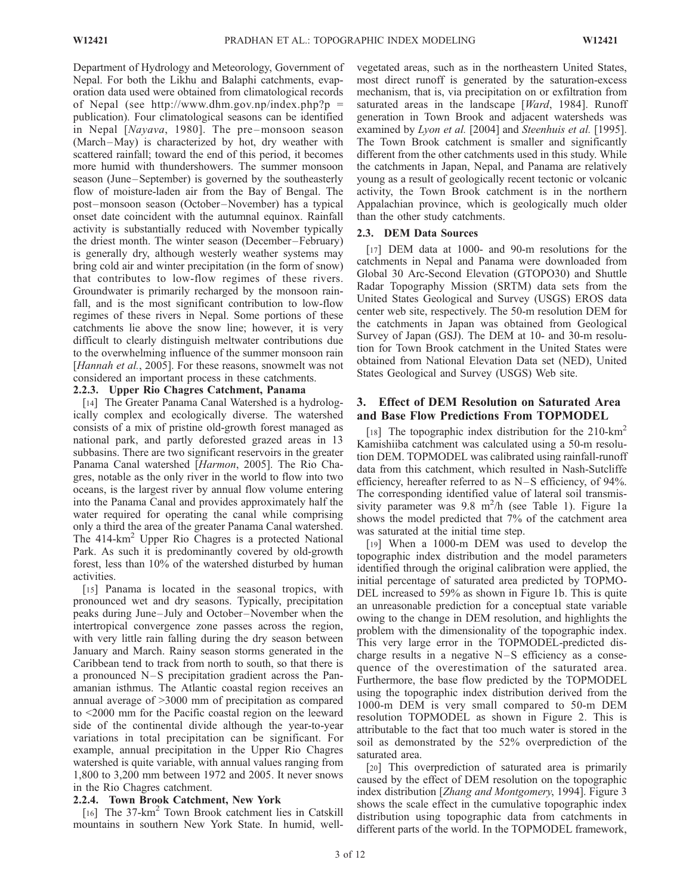Department of Hydrology and Meteorology, Government of Nepal. For both the Likhu and Balaphi catchments, evaporation data used were obtained from climatological records of Nepal (see http://www.dhm.gov.np/index.php?p = publication). Four climatological seasons can be identified in Nepal [Nayava, 1980]. The pre-monsoon season (March –May) is characterized by hot, dry weather with scattered rainfall; toward the end of this period, it becomes more humid with thundershowers. The summer monsoon season (June–September) is governed by the southeasterly flow of moisture-laden air from the Bay of Bengal. The post –monsoon season (October –November) has a typical onset date coincident with the autumnal equinox. Rainfall activity is substantially reduced with November typically the driest month. The winter season (December –February) is generally dry, although westerly weather systems may bring cold air and winter precipitation (in the form of snow) that contributes to low-flow regimes of these rivers. Groundwater is primarily recharged by the monsoon rainfall, and is the most significant contribution to low-flow regimes of these rivers in Nepal. Some portions of these catchments lie above the snow line; however, it is very difficult to clearly distinguish meltwater contributions due to the overwhelming influence of the summer monsoon rain [Hannah et al., 2005]. For these reasons, snowmelt was not considered an important process in these catchments.

#### 2.2.3. Upper Rio Chagres Catchment, Panama

[14] The Greater Panama Canal Watershed is a hydrologically complex and ecologically diverse. The watershed consists of a mix of pristine old-growth forest managed as national park, and partly deforested grazed areas in 13 subbasins. There are two significant reservoirs in the greater Panama Canal watershed [Harmon, 2005]. The Rio Chagres, notable as the only river in the world to flow into two oceans, is the largest river by annual flow volume entering into the Panama Canal and provides approximately half the water required for operating the canal while comprising only a third the area of the greater Panama Canal watershed. The  $414 \text{-} \text{km}^2$  Upper Rio Chagres is a protected National Park. As such it is predominantly covered by old-growth forest, less than 10% of the watershed disturbed by human activities.

[15] Panama is located in the seasonal tropics, with pronounced wet and dry seasons. Typically, precipitation peaks during June– July and October –November when the intertropical convergence zone passes across the region, with very little rain falling during the dry season between January and March. Rainy season storms generated in the Caribbean tend to track from north to south, so that there is a pronounced  $N-S$  precipitation gradient across the Panamanian isthmus. The Atlantic coastal region receives an annual average of >3000 mm of precipitation as compared to <2000 mm for the Pacific coastal region on the leeward side of the continental divide although the year-to-year variations in total precipitation can be significant. For example, annual precipitation in the Upper Rio Chagres watershed is quite variable, with annual values ranging from 1,800 to 3,200 mm between 1972 and 2005. It never snows in the Rio Chagres catchment.

## 2.2.4. Town Brook Catchment, New York

[16] The 37-km<sup>2</sup> Town Brook catchment lies in Catskill mountains in southern New York State. In humid, wellvegetated areas, such as in the northeastern United States, most direct runoff is generated by the saturation-excess mechanism, that is, via precipitation on or exfiltration from saturated areas in the landscape [Ward, 1984]. Runoff generation in Town Brook and adjacent watersheds was examined by Lyon et al. [2004] and Steenhuis et al. [1995]. The Town Brook catchment is smaller and significantly different from the other catchments used in this study. While the catchments in Japan, Nepal, and Panama are relatively young as a result of geologically recent tectonic or volcanic activity, the Town Brook catchment is in the northern Appalachian province, which is geologically much older than the other study catchments.

## 2.3. DEM Data Sources

[17] DEM data at 1000- and 90-m resolutions for the catchments in Nepal and Panama were downloaded from Global 30 Arc-Second Elevation (GTOPO30) and Shuttle Radar Topography Mission (SRTM) data sets from the United States Geological and Survey (USGS) EROS data center web site, respectively. The 50-m resolution DEM for the catchments in Japan was obtained from Geological Survey of Japan (GSJ). The DEM at 10- and 30-m resolution for Town Brook catchment in the United States were obtained from National Elevation Data set (NED), United States Geological and Survey (USGS) Web site.

## 3. Effect of DEM Resolution on Saturated Area and Base Flow Predictions From TOPMODEL

[18] The topographic index distribution for the  $210 \text{--} \text{km}^2$ Kamishiiba catchment was calculated using a 50-m resolution DEM. TOPMODEL was calibrated using rainfall-runoff data from this catchment, which resulted in Nash-Sutcliffe efficiency, hereafter referred to as N–S efficiency, of 94%. The corresponding identified value of lateral soil transmissivity parameter was  $9.8 \text{ m}^2/h$  (see Table 1). Figure 1a shows the model predicted that 7% of the catchment area was saturated at the initial time step.

[19] When a 1000-m DEM was used to develop the topographic index distribution and the model parameters identified through the original calibration were applied, the initial percentage of saturated area predicted by TOPMO-DEL increased to 59% as shown in Figure 1b. This is quite an unreasonable prediction for a conceptual state variable owing to the change in DEM resolution, and highlights the problem with the dimensionality of the topographic index. This very large error in the TOPMODEL-predicted discharge results in a negative N–S efficiency as a consequence of the overestimation of the saturated area. Furthermore, the base flow predicted by the TOPMODEL using the topographic index distribution derived from the 1000-m DEM is very small compared to 50-m DEM resolution TOPMODEL as shown in Figure 2. This is attributable to the fact that too much water is stored in the soil as demonstrated by the 52% overprediction of the saturated area.

[20] This overprediction of saturated area is primarily caused by the effect of DEM resolution on the topographic index distribution [Zhang and Montgomery, 1994]. Figure 3 shows the scale effect in the cumulative topographic index distribution using topographic data from catchments in different parts of the world. In the TOPMODEL framework,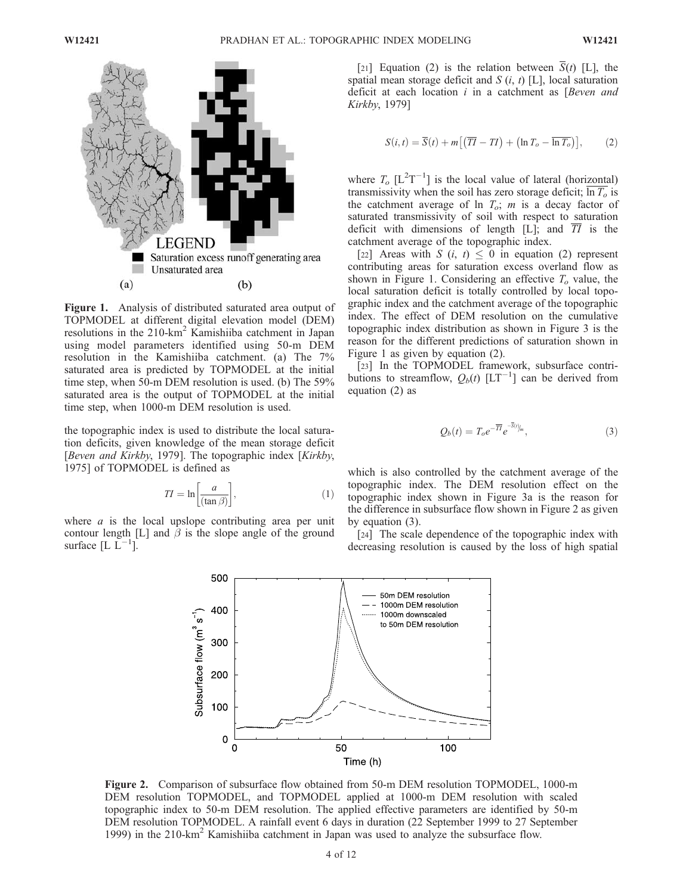

Figure 1. Analysis of distributed saturated area output of TOPMODEL at different digital elevation model (DEM) resolutions in the 210-km<sup>2</sup> Kamishiiba catchment in Japan using model parameters identified using 50-m DEM resolution in the Kamishiiba catchment. (a) The 7% saturated area is predicted by TOPMODEL at the initial time step, when 50-m DEM resolution is used. (b) The 59% saturated area is the output of TOPMODEL at the initial time step, when 1000-m DEM resolution is used.

the topographic index is used to distribute the local saturation deficits, given knowledge of the mean storage deficit [Beven and Kirkby, 1979]. The topographic index [Kirkby, 1975] of TOPMODEL is defined as

$$
TI = \ln\left[\frac{a}{(\tan \beta)}\right],\tag{1}
$$

where  $\alpha$  is the local upslope contributing area per unit contour length [L] and  $\beta$  is the slope angle of the ground surface  $[L L^{-1}]$ .

[21] Equation (2) is the relation between  $\overline{S}(t)$  [L], the spatial mean storage deficit and  $S(i, t)$  [L], local saturation deficit at each location  $i$  in a catchment as [Beven and Kirkby, 1979]

$$
S(i,t) = \overline{S}(t) + m\left[\left(\overline{TI} - TI\right) + \left(\ln T_o - \overline{\ln T_o}\right)\right],\tag{2}
$$

where  $T_o$  [L<sup>2</sup>T<sup>-1</sup>] is the local value of lateral (horizontal) transmissivity when the soil has zero storage deficit;  $\overline{\ln T_o}$  is the catchment average of ln  $T_o$ ; m is a decay factor of saturated transmissivity of soil with respect to saturation deficit with dimensions of length [L]; and  $\overline{TI}$  is the catchment average of the topographic index.

[22] Areas with  $S$  (*i*, *t*)  $\leq$  0 in equation (2) represent contributing areas for saturation excess overland flow as shown in Figure 1. Considering an effective  $T<sub>o</sub>$  value, the local saturation deficit is totally controlled by local topographic index and the catchment average of the topographic index. The effect of DEM resolution on the cumulative topographic index distribution as shown in Figure 3 is the reason for the different predictions of saturation shown in Figure 1 as given by equation (2).

[23] In the TOPMODEL framework, subsurface contributions to streamflow,  $Q_b(t)$  [LT<sup>-1</sup>] can be derived from equation (2) as

$$
Q_b(t) = T_o e^{-\overline{H}} e^{-S(t)/m}, \qquad (3)
$$

which is also controlled by the catchment average of the topographic index. The DEM resolution effect on the topographic index shown in Figure 3a is the reason for the difference in subsurface flow shown in Figure 2 as given by equation (3).

[24] The scale dependence of the topographic index with decreasing resolution is caused by the loss of high spatial



Figure 2. Comparison of subsurface flow obtained from 50-m DEM resolution TOPMODEL, 1000-m DEM resolution TOPMODEL, and TOPMODEL applied at 1000-m DEM resolution with scaled topographic index to 50-m DEM resolution. The applied effective parameters are identified by 50-m DEM resolution TOPMODEL. A rainfall event 6 days in duration (22 September 1999 to 27 September 1999) in the 210-km<sup>2</sup> Kamishiiba catchment in Japan was used to analyze the subsurface flow.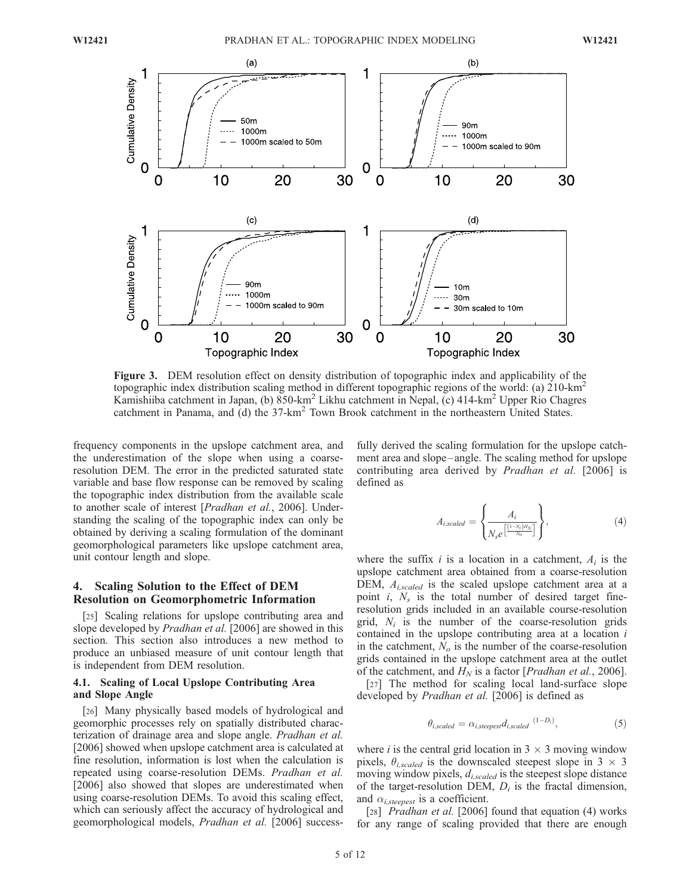

Figure 3. DEM resolution effect on density distribution of topographic index and applicability of the topographic index distribution scaling method in different topographic regions of the world: (a) 210-km<sup>2</sup> Kamishiiba catchment in Japan, (b) 850-km<sup>2</sup> Likhu catchment in Nepal, (c) 414-km<sup>2</sup> Upper Rio Chagres catchment in Panama, and (d) the 37-km<sup>2</sup> Town Brook catchment in the northeastern United States.

frequency components in the upslope catchment area, and the underestimation of the slope when using a coarseresolution DEM. The error in the predicted saturated state variable and base flow response can be removed by scaling the topographic index distribution from the available scale to another scale of interest [Pradhan et al., 2006]. Understanding the scaling of the topographic index can only be obtained by deriving a scaling formulation of the dominant geomorphological parameters like upslope catchment area, unit contour length and slope.

## 4. Scaling Solution to the Effect of DEM Resolution on Geomorphometric Information

[25] Scaling relations for upslope contributing area and slope developed by *Pradhan et al.* [2006] are showed in this section. This section also introduces a new method to produce an unbiased measure of unit contour length that is independent from DEM resolution.

#### 4.1. Scaling of Local Upslope Contributing Area and Slope Angle

[26] Many physically based models of hydrological and geomorphic processes rely on spatially distributed characterization of drainage area and slope angle. Pradhan et al. [2006] showed when upslope catchment area is calculated at fine resolution, information is lost when the calculation is repeated using coarse-resolution DEMs. Pradhan et al. [2006] also showed that slopes are underestimated when using coarse-resolution DEMs. To avoid this scaling effect, which can seriously affect the accuracy of hydrological and geomorphological models, Pradhan et al. [2006] successfully derived the scaling formulation for the upslope catchment area and slope-angle. The scaling method for upslope contributing area derived by Pradhan et al. [2006] is defined as

$$
A_{i, scaled} = \left\{ \frac{A_i}{N_s e^{\left(\frac{(1-N_i)H_N}{N_o}\right)}} \right\},
$$
\n(4)

where the suffix i is a location in a catchment,  $A_i$  is the upslope catchment area obtained from a coarse-resolution DEM,  $A_{i, scaled}$  is the scaled upslope catchment area at a point i,  $N_s$  is the total number of desired target fineresolution grids included in an available course-resolution grid,  $N_i$  is the number of the coarse-resolution grids contained in the upslope contributing area at a location i in the catchment,  $N<sub>o</sub>$  is the number of the coarse-resolution grids contained in the upslope catchment area at the outlet of the catchment, and  $H_N$  is a factor [*Pradhan et al.*, 2006].

[27] The method for scaling local land-surface slope developed by Pradhan et al. [2006] is defined as

$$
\theta_{i,scaled} = \alpha_{i,steepest} d_{i,scaled} \xrightarrow{(1-D_i)}, \tag{5}
$$

where *i* is the central grid location in  $3 \times 3$  moving window pixels,  $\theta_{i, scaled}$  is the downscaled steepest slope in 3  $\times$  3 moving window pixels,  $d_{i, scaled}$  is the steepest slope distance of the target-resolution DEM,  $D_i$  is the fractal dimension, and  $\alpha_{i,steepest}$  is a coefficient.

[28] *Pradhan et al.* [2006] found that equation (4) works for any range of scaling provided that there are enough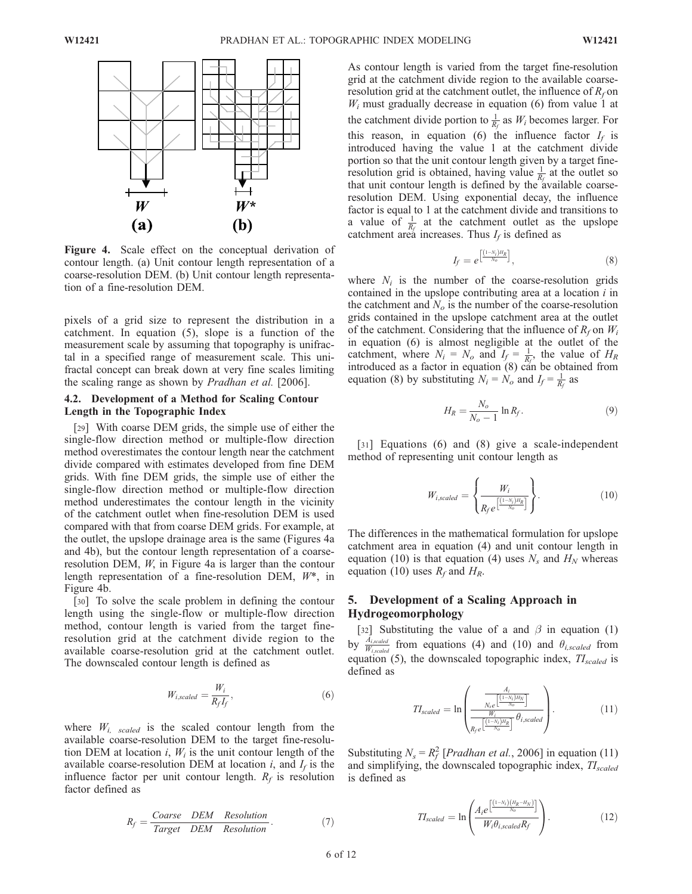

Figure 4. Scale effect on the conceptual derivation of contour length. (a) Unit contour length representation of a coarse-resolution DEM. (b) Unit contour length representation of a fine-resolution DEM.

pixels of a grid size to represent the distribution in a catchment. In equation (5), slope is a function of the measurement scale by assuming that topography is unifractal in a specified range of measurement scale. This unifractal concept can break down at very fine scales limiting the scaling range as shown by Pradhan et al. [2006].

#### 4.2. Development of a Method for Scaling Contour Length in the Topographic Index

[29] With coarse DEM grids, the simple use of either the single-flow direction method or multiple-flow direction method overestimates the contour length near the catchment divide compared with estimates developed from fine DEM grids. With fine DEM grids, the simple use of either the single-flow direction method or multiple-flow direction method underestimates the contour length in the vicinity of the catchment outlet when fine-resolution DEM is used compared with that from coarse DEM grids. For example, at the outlet, the upslope drainage area is the same (Figures 4a and 4b), but the contour length representation of a coarseresolution DEM, W, in Figure 4a is larger than the contour length representation of a fine-resolution DEM, W\*, in Figure 4b.

[30] To solve the scale problem in defining the contour length using the single-flow or multiple-flow direction method, contour length is varied from the target fineresolution grid at the catchment divide region to the available coarse-resolution grid at the catchment outlet. The downscaled contour length is defined as

$$
W_{i, scaled} = \frac{W_i}{R_f I_f},\tag{6}
$$

where  $W_{i, scaled}$  is the scaled contour length from the available coarse-resolution DEM to the target fine-resolution DEM at location i,  $W_i$  is the unit contour length of the available coarse-resolution DEM at location  $i$ , and  $I_f$  is the influence factor per unit contour length.  $R_f$  is resolution factor defined as

$$
R_f = \frac{Coarse \quad DEM \quad Resolution}{Target \quad DEM \quad Resolution} \,. \tag{7}
$$

As contour length is varied from the target fine-resolution grid at the catchment divide region to the available coarseresolution grid at the catchment outlet, the influence of  $R_f$  on  $W_i$  must gradually decrease in equation (6) from value 1 at the catchment divide portion to  $\frac{1}{R_f}$  as  $W_i$  becomes larger. For this reason, in equation (6) the influence factor  $I_f$  is introduced having the value 1 at the catchment divide portion so that the unit contour length given by a target fineresolution grid is obtained, having value  $\frac{1}{R_f}$  at the outlet so that unit contour length is defined by the available coarseresolution DEM. Using exponential decay, the influence factor is equal to 1 at the catchment divide and transitions to a value of  $\frac{1}{R_f}$  at the catchment outlet as the upslope catchment area increases. Thus  $I_f$  is defined as

$$
I_f = e^{\left[\frac{(1-N_i)H_R}{N_o}\right]},\tag{8}
$$

where  $N_i$  is the number of the coarse-resolution grids contained in the upslope contributing area at a location  $i$  in the catchment and  $N<sub>o</sub>$  is the number of the coarse-resolution grids contained in the upslope catchment area at the outlet of the catchment. Considering that the influence of  $R_f$  on  $W_i$ in equation (6) is almost negligible at the outlet of the catchment, where  $N_i = N_o$  and  $I_f = \frac{1}{R_f}$ , the value of  $H_R$ introduced as a factor in equation  $(8)$  can be obtained from equation (8) by substituting  $N_i = N_o$  and  $I_f = \frac{1}{R_f}$  as

$$
H_R = \frac{N_o}{N_o - 1} \ln R_f. \tag{9}
$$

[31] Equations (6) and (8) give a scale-independent method of representing unit contour length as

$$
W_{i, scaled} = \left\{ \frac{W_i}{R_f e^{\left[\frac{(1-N_i)H_R}{N_o}\right]}} \right\}.
$$
 (10)

The differences in the mathematical formulation for upslope catchment area in equation (4) and unit contour length in equation (10) is that equation (4) uses  $N_s$  and  $H_N$  whereas equation (10) uses  $R_f$  and  $H_R$ .

# 5. Development of a Scaling Approach in Hydrogeomorphology

[32] Substituting the value of a and  $\beta$  in equation (1) by  $\frac{A_{i, scaled}}{W_{i, scaled}}$  from equations (4) and (10) and  $\theta_{i, scaled}$  from equation (5), the downscaled topographic index,  $TI_{scaled}$  is defined as

$$
TI_{scaled} = \ln \left( \frac{\frac{A_i}{N_e e^{\left[ (1-N_i)H_N \right]}}}{\frac{W_i}{R_f e^{\left[ (1-N_i)H_R \right]}} \theta_{i, scaled}} \right). \tag{11}
$$

Substituting  $N_s = R_f^2$  [*Pradhan et al.*, 2006] in equation (11) and simplifying, the downscaled topographic index,  $TI_{scaled}$ is defined as

$$
TI_{scaled} = \ln\left(\frac{A_i e^{\left[\frac{(1-N_i)(H_R - H_N)}{N_o}\right]}}{W_i \theta_{i, scaled} R_f}\right).
$$
 (12)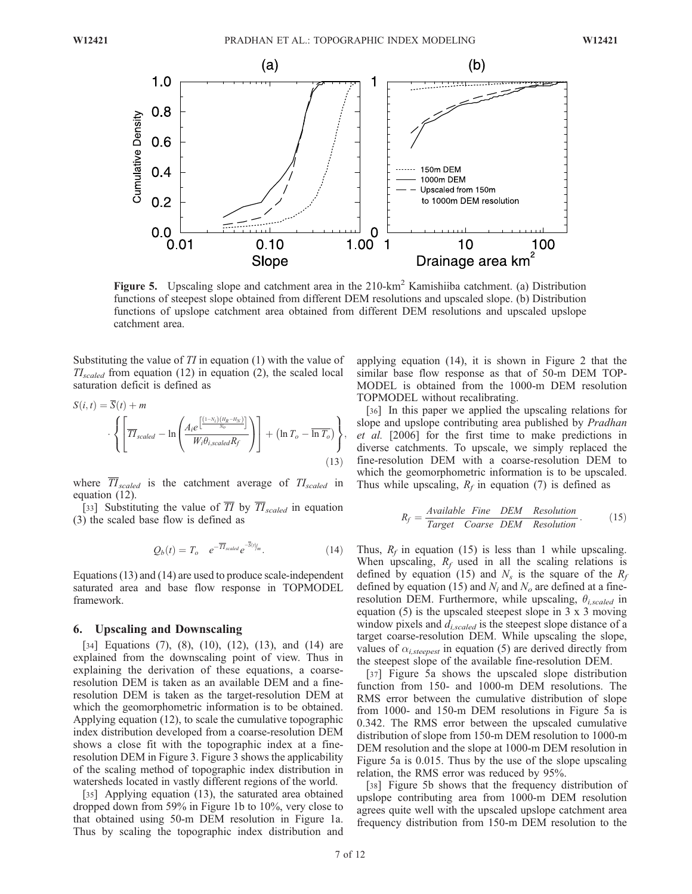

**Figure 5.** Upscaling slope and catchment area in the  $210 \text{-} \text{km}^2$  Kamishiiba catchment. (a) Distribution functions of steepest slope obtained from different DEM resolutions and upscaled slope. (b) Distribution functions of upslope catchment area obtained from different DEM resolutions and upscaled upslope catchment area.

Substituting the value of  $TI$  in equation (1) with the value of  $TI_{scaled}$  from equation (12) in equation (2), the scaled local saturation deficit is defined as

$$
S(i, t) = S(t) + m
$$

$$
\cdot \left\{ \left[ \overline{T} \overline{T}_{scaled} - \ln \left( \frac{A_i e^{\left[ \frac{(1 - N_i)(H_R - H_N)}{N_o} \right]}}{W_i \theta_{i, scaled} R_f} \right) \right] + \left( \ln T_o - \overline{\ln T_o} \right) \right\},
$$
(13)

where  $\overline{II}_{scaled}$  is the catchment average of  $II_{scaled}$  in equation (12).

[33] Substituting the value of  $\overline{TI}$  by  $\overline{TI}_{scaled}$  in equation (3) the scaled base flow is defined as

$$
Q_b(t) = T_o \t e^{-\overline{H}_{scaled}} e^{-S(t)/m}.
$$
 (14)

Equations (13) and (14) are used to produce scale-independent saturated area and base flow response in TOPMODEL framework.

#### 6. Upscaling and Downscaling

[34] Equations (7), (8), (10), (12), (13), and (14) are explained from the downscaling point of view. Thus in explaining the derivation of these equations, a coarseresolution DEM is taken as an available DEM and a fineresolution DEM is taken as the target-resolution DEM at which the geomorphometric information is to be obtained. Applying equation (12), to scale the cumulative topographic index distribution developed from a coarse-resolution DEM shows a close fit with the topographic index at a fineresolution DEM in Figure 3. Figure 3 shows the applicability of the scaling method of topographic index distribution in watersheds located in vastly different regions of the world.

[35] Applying equation (13), the saturated area obtained dropped down from 59% in Figure 1b to 10%, very close to that obtained using 50-m DEM resolution in Figure 1a. Thus by scaling the topographic index distribution and applying equation (14), it is shown in Figure 2 that the similar base flow response as that of 50-m DEM TOP-MODEL is obtained from the 1000-m DEM resolution TOPMODEL without recalibrating.

[36] In this paper we applied the upscaling relations for slope and upslope contributing area published by *Pradhan* et al. [2006] for the first time to make predictions in diverse catchments. To upscale, we simply replaced the fine-resolution DEM with a coarse-resolution DEM to which the geomorphometric information is to be upscaled. Thus while upscaling,  $R_f$  in equation (7) is defined as

$$
R_f = \frac{Available\ Fine\ DEM\ Resolution}{Target\ Coarse\ DEM\ Resolution}.\tag{15}
$$

Thus,  $R_f$  in equation (15) is less than 1 while upscaling. When upscaling,  $R_f$  used in all the scaling relations is defined by equation (15) and  $N_s$  is the square of the  $R_f$ defined by equation (15) and  $N_i$  and  $N_o$  are defined at a fineresolution DEM. Furthermore, while upscaling,  $\theta_{i, scaled}$  in equation (5) is the upscaled steepest slope in 3 x 3 moving window pixels and  $d_{i, scaled}$  is the steepest slope distance of a target coarse-resolution DEM. While upscaling the slope, values of  $\alpha_{i,steepest}$  in equation (5) are derived directly from the steepest slope of the available fine-resolution DEM.

[37] Figure 5a shows the upscaled slope distribution function from 150- and 1000-m DEM resolutions. The RMS error between the cumulative distribution of slope from 1000- and 150-m DEM resolutions in Figure 5a is 0.342. The RMS error between the upscaled cumulative distribution of slope from 150-m DEM resolution to 1000-m DEM resolution and the slope at 1000-m DEM resolution in Figure 5a is 0.015. Thus by the use of the slope upscaling relation, the RMS error was reduced by 95%.

[38] Figure 5b shows that the frequency distribution of upslope contributing area from 1000-m DEM resolution agrees quite well with the upscaled upslope catchment area frequency distribution from 150-m DEM resolution to the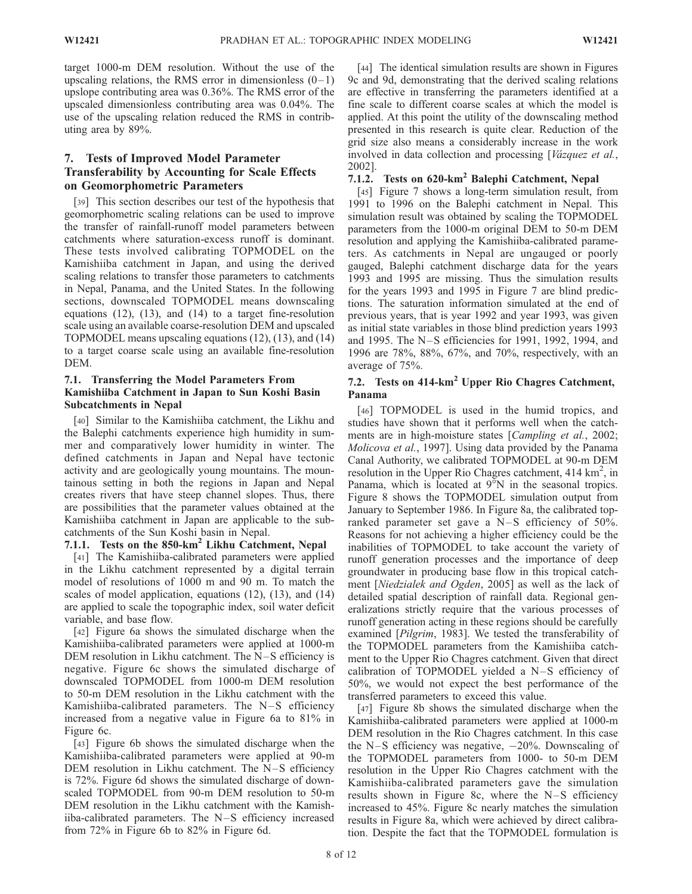target 1000-m DEM resolution. Without the use of the upscaling relations, the RMS error in dimensionless  $(0-1)$ upslope contributing area was 0.36%. The RMS error of the upscaled dimensionless contributing area was 0.04%. The use of the upscaling relation reduced the RMS in contributing area by 89%.

# 7. Tests of Improved Model Parameter Transferability by Accounting for Scale Effects on Geomorphometric Parameters

[39] This section describes our test of the hypothesis that geomorphometric scaling relations can be used to improve the transfer of rainfall-runoff model parameters between catchments where saturation-excess runoff is dominant. These tests involved calibrating TOPMODEL on the Kamishiiba catchment in Japan, and using the derived scaling relations to transfer those parameters to catchments in Nepal, Panama, and the United States. In the following sections, downscaled TOPMODEL means downscaling equations  $(12)$ ,  $(13)$ , and  $(14)$  to a target fine-resolution scale using an available coarse-resolution DEM and upscaled TOPMODEL means upscaling equations (12), (13), and (14) to a target coarse scale using an available fine-resolution DEM.

## 7.1. Transferring the Model Parameters From Kamishiiba Catchment in Japan to Sun Koshi Basin Subcatchments in Nepal

[40] Similar to the Kamishiiba catchment, the Likhu and the Balephi catchments experience high humidity in summer and comparatively lower humidity in winter. The defined catchments in Japan and Nepal have tectonic activity and are geologically young mountains. The mountainous setting in both the regions in Japan and Nepal creates rivers that have steep channel slopes. Thus, there are possibilities that the parameter values obtained at the Kamishiiba catchment in Japan are applicable to the subcatchments of the Sun Koshi basin in Nepal.

## 7.1.1. Tests on the  $850 \text{-} \text{km}^2$  Likhu Catchment, Nepal

[41] The Kamishiiba-calibrated parameters were applied in the Likhu catchment represented by a digital terrain model of resolutions of 1000 m and 90 m. To match the scales of model application, equations (12), (13), and (14) are applied to scale the topographic index, soil water deficit variable, and base flow.

[42] Figure 6a shows the simulated discharge when the Kamishiiba-calibrated parameters were applied at 1000-m DEM resolution in Likhu catchment. The N–S efficiency is negative. Figure 6c shows the simulated discharge of downscaled TOPMODEL from 1000-m DEM resolution to 50-m DEM resolution in the Likhu catchment with the Kamishiiba-calibrated parameters. The  $N-S$  efficiency increased from a negative value in Figure 6a to 81% in Figure 6c.

[43] Figure 6b shows the simulated discharge when the Kamishiiba-calibrated parameters were applied at 90-m DEM resolution in Likhu catchment. The N-S efficiency is 72%. Figure 6d shows the simulated discharge of downscaled TOPMODEL from 90-m DEM resolution to 50-m DEM resolution in the Likhu catchment with the Kamishiiba-calibrated parameters. The  $N-S$  efficiency increased from 72% in Figure 6b to 82% in Figure 6d.

[44] The identical simulation results are shown in Figures 9c and 9d, demonstrating that the derived scaling relations are effective in transferring the parameters identified at a fine scale to different coarse scales at which the model is applied. At this point the utility of the downscaling method presented in this research is quite clear. Reduction of the grid size also means a considerably increase in the work involved in data collection and processing [Vázquez et al., 2002].

# 7.1.2. Tests on 620-km<sup>2</sup> Balephi Catchment, Nepal

[45] Figure 7 shows a long-term simulation result, from 1991 to 1996 on the Balephi catchment in Nepal. This simulation result was obtained by scaling the TOPMODEL parameters from the 1000-m original DEM to 50-m DEM resolution and applying the Kamishiiba-calibrated parameters. As catchments in Nepal are ungauged or poorly gauged, Balephi catchment discharge data for the years 1993 and 1995 are missing. Thus the simulation results for the years 1993 and 1995 in Figure 7 are blind predictions. The saturation information simulated at the end of previous years, that is year 1992 and year 1993, was given as initial state variables in those blind prediction years 1993 and 1995. The N-S efficiencies for 1991, 1992, 1994, and 1996 are 78%, 88%, 67%, and 70%, respectively, with an average of 75%.

# 7.2. Tests on  $414\text{-}km^2$  Upper Rio Chagres Catchment, Panama

[46] TOPMODEL is used in the humid tropics, and studies have shown that it performs well when the catchments are in high-moisture states [Campling et al., 2002; Molicova et al., 1997]. Using data provided by the Panama Canal Authority, we calibrated TOPMODEL at 90-m DEM resolution in the Upper Rio Chagres catchment, 414  $\text{km}^2$ , in Panama, which is located at  $9^{\circ}$ N in the seasonal tropics. Figure 8 shows the TOPMODEL simulation output from January to September 1986. In Figure 8a, the calibrated topranked parameter set gave a  $N-S$  efficiency of 50%. Reasons for not achieving a higher efficiency could be the inabilities of TOPMODEL to take account the variety of runoff generation processes and the importance of deep groundwater in producing base flow in this tropical catchment [Niedzialek and Ogden, 2005] as well as the lack of detailed spatial description of rainfall data. Regional generalizations strictly require that the various processes of runoff generation acting in these regions should be carefully examined [*Pilgrim*, 1983]. We tested the transferability of the TOPMODEL parameters from the Kamishiiba catchment to the Upper Rio Chagres catchment. Given that direct calibration of TOPMODEL yielded a N–S efficiency of 50%, we would not expect the best performance of the transferred parameters to exceed this value.

[47] Figure 8b shows the simulated discharge when the Kamishiiba-calibrated parameters were applied at 1000-m DEM resolution in the Rio Chagres catchment. In this case the N–S efficiency was negative,  $-20\%$ . Downscaling of the TOPMODEL parameters from 1000- to 50-m DEM resolution in the Upper Rio Chagres catchment with the Kamishiiba-calibrated parameters gave the simulation results shown in Figure 8c, where the  $N-S$  efficiency increased to 45%. Figure 8c nearly matches the simulation results in Figure 8a, which were achieved by direct calibration. Despite the fact that the TOPMODEL formulation is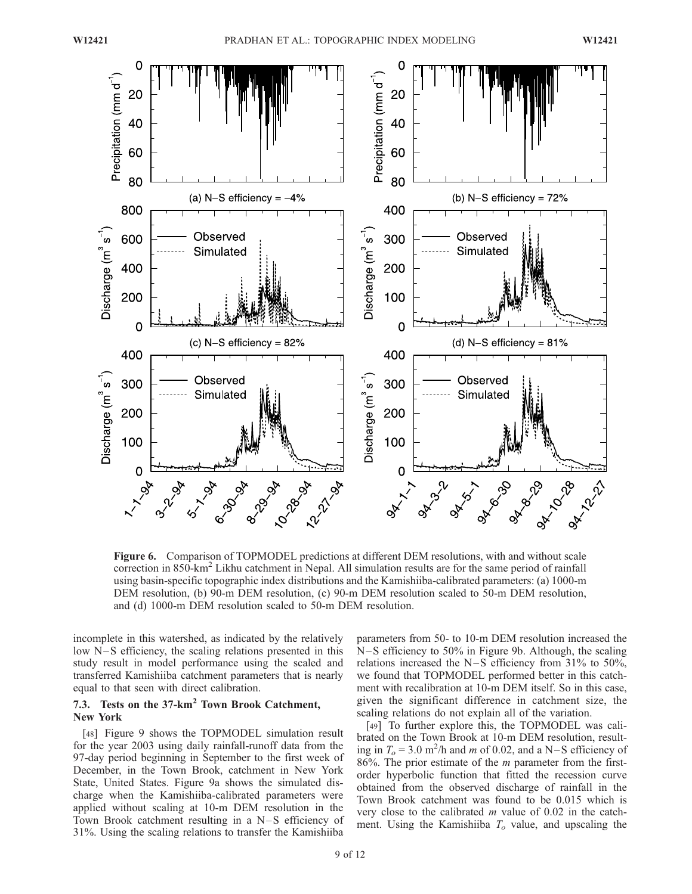

Figure 6. Comparison of TOPMODEL predictions at different DEM resolutions, with and without scale correction in 850-km<sup>2</sup> Likhu catchment in Nepal. All simulation results are for the same period of rainfall using basin-specific topographic index distributions and the Kamishiiba-calibrated parameters: (a) 1000-m DEM resolution, (b) 90-m DEM resolution, (c) 90-m DEM resolution scaled to 50-m DEM resolution, and (d) 1000-m DEM resolution scaled to 50-m DEM resolution.

incomplete in this watershed, as indicated by the relatively low N-S efficiency, the scaling relations presented in this study result in model performance using the scaled and transferred Kamishiiba catchment parameters that is nearly equal to that seen with direct calibration.

# 7.3. Tests on the 37-km<sup>2</sup> Town Brook Catchment, New York

[48] Figure 9 shows the TOPMODEL simulation result for the year 2003 using daily rainfall-runoff data from the 97-day period beginning in September to the first week of December, in the Town Brook, catchment in New York State, United States. Figure 9a shows the simulated discharge when the Kamishiiba-calibrated parameters were applied without scaling at 10-m DEM resolution in the Town Brook catchment resulting in a  $N-S$  efficiency of 31%. Using the scaling relations to transfer the Kamishiiba

parameters from 50- to 10-m DEM resolution increased the N-S efficiency to 50% in Figure 9b. Although, the scaling relations increased the N-S efficiency from  $31\%$  to  $50\%$ , we found that TOPMODEL performed better in this catchment with recalibration at 10-m DEM itself. So in this case, given the significant difference in catchment size, the scaling relations do not explain all of the variation.

[49] To further explore this, the TOPMODEL was calibrated on the Town Brook at 10-m DEM resolution, resulting in  $T_o = 3.0$  m<sup>2</sup>/h and *m* of 0.02, and a N–S efficiency of 86%. The prior estimate of the  $m$  parameter from the firstorder hyperbolic function that fitted the recession curve obtained from the observed discharge of rainfall in the Town Brook catchment was found to be 0.015 which is very close to the calibrated  $m$  value of 0.02 in the catchment. Using the Kamishiiba  $T<sub>o</sub>$  value, and upscaling the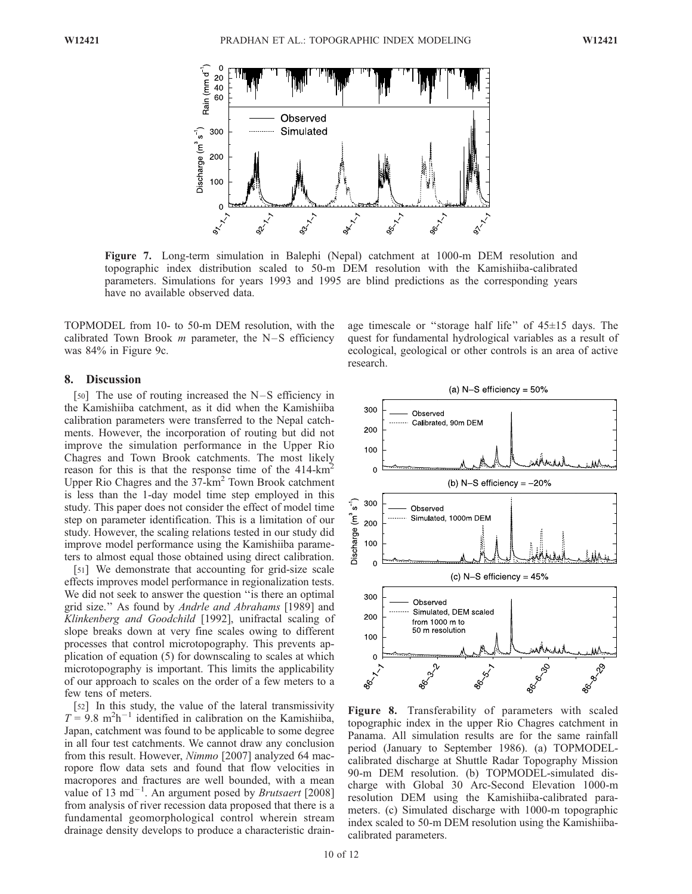

Figure 7. Long-term simulation in Balephi (Nepal) catchment at 1000-m DEM resolution and topographic index distribution scaled to 50-m DEM resolution with the Kamishiiba-calibrated parameters. Simulations for years 1993 and 1995 are blind predictions as the corresponding years have no available observed data.

TOPMODEL from 10- to 50-m DEM resolution, with the calibrated Town Brook  $m$  parameter, the N–S efficiency was 84% in Figure 9c.

#### 8. Discussion

[50] The use of routing increased the  $N-S$  efficiency in the Kamishiiba catchment, as it did when the Kamishiiba calibration parameters were transferred to the Nepal catchments. However, the incorporation of routing but did not improve the simulation performance in the Upper Rio Chagres and Town Brook catchments. The most likely reason for this is that the response time of the 414-km<sup>2</sup> Upper Rio Chagres and the 37-km<sup>2</sup> Town Brook catchment is less than the 1-day model time step employed in this study. This paper does not consider the effect of model time step on parameter identification. This is a limitation of our study. However, the scaling relations tested in our study did improve model performance using the Kamishiiba parameters to almost equal those obtained using direct calibration.

[51] We demonstrate that accounting for grid-size scale effects improves model performance in regionalization tests. We did not seek to answer the question ''is there an optimal grid size." As found by Andrle and Abrahams [1989] and Klinkenberg and Goodchild [1992], unifractal scaling of slope breaks down at very fine scales owing to different processes that control microtopography. This prevents application of equation (5) for downscaling to scales at which microtopography is important. This limits the applicability of our approach to scales on the order of a few meters to a few tens of meters.

[52] In this study, the value of the lateral transmissivity  $T = 9.8 \text{ m}^2 \text{h}^{-1}$  identified in calibration on the Kamishiiba, Japan, catchment was found to be applicable to some degree in all four test catchments. We cannot draw any conclusion from this result. However, Nimmo [2007] analyzed 64 macropore flow data sets and found that flow velocities in macropores and fractures are well bounded, with a mean value of 13 md<sup>-1</sup>. An argument posed by *Brutsaert* [2008] from analysis of river recession data proposed that there is a fundamental geomorphological control wherein stream drainage density develops to produce a characteristic drainage timescale or ''storage half life'' of 45±15 days. The quest for fundamental hydrological variables as a result of ecological, geological or other controls is an area of active research.



Figure 8. Transferability of parameters with scaled topographic index in the upper Rio Chagres catchment in Panama. All simulation results are for the same rainfall period (January to September 1986). (a) TOPMODELcalibrated discharge at Shuttle Radar Topography Mission 90-m DEM resolution. (b) TOPMODEL-simulated discharge with Global 30 Arc-Second Elevation 1000-m resolution DEM using the Kamishiiba-calibrated parameters. (c) Simulated discharge with 1000-m topographic index scaled to 50-m DEM resolution using the Kamishiibacalibrated parameters.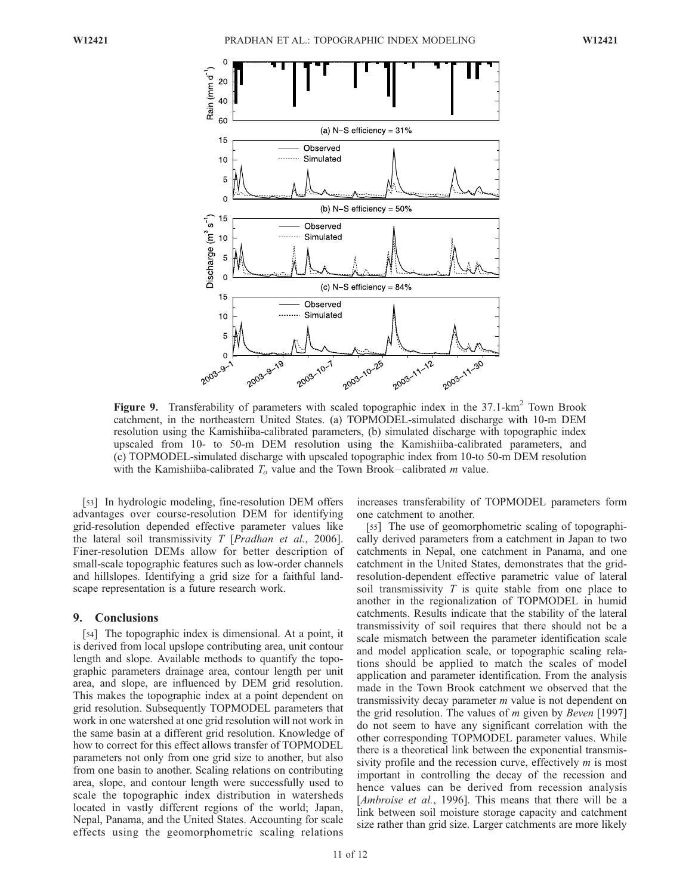

Figure 9. Transferability of parameters with scaled topographic index in the 37.1-km<sup>2</sup> Town Brook catchment, in the northeastern United States. (a) TOPMODEL-simulated discharge with 10-m DEM resolution using the Kamishiiba-calibrated parameters, (b) simulated discharge with topographic index upscaled from 10- to 50-m DEM resolution using the Kamishiiba-calibrated parameters, and (c) TOPMODEL-simulated discharge with upscaled topographic index from 10-to 50-m DEM resolution with the Kamishiiba-calibrated  $T<sub>o</sub>$  value and the Town Brook-calibrated m value.

[53] In hydrologic modeling, fine-resolution DEM offers advantages over course-resolution DEM for identifying grid-resolution depended effective parameter values like the lateral soil transmissivity  $T$  [*Pradhan et al.*, 2006]. Finer-resolution DEMs allow for better description of small-scale topographic features such as low-order channels and hillslopes. Identifying a grid size for a faithful landscape representation is a future research work.

#### 9. Conclusions

[54] The topographic index is dimensional. At a point, it is derived from local upslope contributing area, unit contour length and slope. Available methods to quantify the topographic parameters drainage area, contour length per unit area, and slope, are influenced by DEM grid resolution. This makes the topographic index at a point dependent on grid resolution. Subsequently TOPMODEL parameters that work in one watershed at one grid resolution will not work in the same basin at a different grid resolution. Knowledge of how to correct for this effect allows transfer of TOPMODEL parameters not only from one grid size to another, but also from one basin to another. Scaling relations on contributing area, slope, and contour length were successfully used to scale the topographic index distribution in watersheds located in vastly different regions of the world; Japan, Nepal, Panama, and the United States. Accounting for scale effects using the geomorphometric scaling relations

increases transferability of TOPMODEL parameters form one catchment to another.

[55] The use of geomorphometric scaling of topographically derived parameters from a catchment in Japan to two catchments in Nepal, one catchment in Panama, and one catchment in the United States, demonstrates that the gridresolution-dependent effective parametric value of lateral soil transmissivity  $T$  is quite stable from one place to another in the regionalization of TOPMODEL in humid catchments. Results indicate that the stability of the lateral transmissivity of soil requires that there should not be a scale mismatch between the parameter identification scale and model application scale, or topographic scaling relations should be applied to match the scales of model application and parameter identification. From the analysis made in the Town Brook catchment we observed that the transmissivity decay parameter  $m$  value is not dependent on the grid resolution. The values of  $m$  given by Beven [1997] do not seem to have any significant correlation with the other corresponding TOPMODEL parameter values. While there is a theoretical link between the exponential transmissivity profile and the recession curve, effectively  $m$  is most important in controlling the decay of the recession and hence values can be derived from recession analysis [*Ambroise et al.*, 1996]. This means that there will be a link between soil moisture storage capacity and catchment size rather than grid size. Larger catchments are more likely